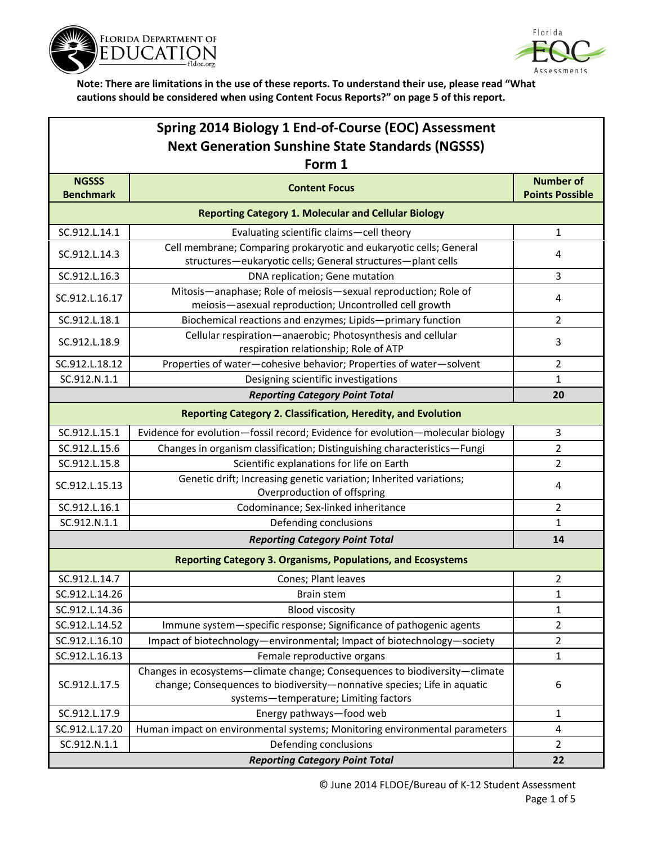



| Spring 2014 Biology 1 End-of-Course (EOC) Assessment    |                                                                                                                                                                                                |                                            |  |  |
|---------------------------------------------------------|------------------------------------------------------------------------------------------------------------------------------------------------------------------------------------------------|--------------------------------------------|--|--|
| <b>Next Generation Sunshine State Standards (NGSSS)</b> |                                                                                                                                                                                                |                                            |  |  |
| Form 1                                                  |                                                                                                                                                                                                |                                            |  |  |
| <b>NGSSS</b><br><b>Benchmark</b>                        | <b>Content Focus</b>                                                                                                                                                                           | <b>Number of</b><br><b>Points Possible</b> |  |  |
|                                                         | <b>Reporting Category 1. Molecular and Cellular Biology</b>                                                                                                                                    |                                            |  |  |
| SC.912.L.14.1                                           | Evaluating scientific claims-cell theory                                                                                                                                                       | $\mathbf{1}$                               |  |  |
| SC.912.L.14.3                                           | Cell membrane; Comparing prokaryotic and eukaryotic cells; General<br>structures-eukaryotic cells; General structures-plant cells                                                              | 4                                          |  |  |
| SC.912.L.16.3                                           | DNA replication; Gene mutation                                                                                                                                                                 | 3                                          |  |  |
| SC.912.L.16.17                                          | Mitosis-anaphase; Role of meiosis-sexual reproduction; Role of<br>meiosis-asexual reproduction; Uncontrolled cell growth                                                                       | 4                                          |  |  |
| SC.912.L.18.1                                           | Biochemical reactions and enzymes; Lipids-primary function                                                                                                                                     | 2                                          |  |  |
| SC.912.L.18.9                                           | Cellular respiration-anaerobic; Photosynthesis and cellular<br>respiration relationship; Role of ATP                                                                                           | 3                                          |  |  |
| SC.912.L.18.12                                          | Properties of water-cohesive behavior; Properties of water-solvent                                                                                                                             | $\overline{2}$                             |  |  |
| SC.912.N.1.1                                            | Designing scientific investigations                                                                                                                                                            | 1                                          |  |  |
|                                                         | <b>Reporting Category Point Total</b>                                                                                                                                                          | 20                                         |  |  |
|                                                         | <b>Reporting Category 2. Classification, Heredity, and Evolution</b>                                                                                                                           |                                            |  |  |
| SC.912.L.15.1                                           | Evidence for evolution-fossil record; Evidence for evolution-molecular biology                                                                                                                 | 3                                          |  |  |
| SC.912.L.15.6                                           | Changes in organism classification; Distinguishing characteristics-Fungi                                                                                                                       | $\overline{2}$                             |  |  |
| SC.912.L.15.8                                           | Scientific explanations for life on Earth                                                                                                                                                      | $\overline{2}$                             |  |  |
| SC.912.L.15.13                                          | Genetic drift; Increasing genetic variation; Inherited variations;<br>Overproduction of offspring                                                                                              | 4                                          |  |  |
| SC.912.L.16.1                                           | Codominance; Sex-linked inheritance                                                                                                                                                            | $\overline{2}$                             |  |  |
| SC.912.N.1.1                                            | Defending conclusions                                                                                                                                                                          | $\mathbf{1}$                               |  |  |
|                                                         | <b>Reporting Category Point Total</b>                                                                                                                                                          | 14                                         |  |  |
|                                                         | <b>Reporting Category 3. Organisms, Populations, and Ecosystems</b>                                                                                                                            |                                            |  |  |
| SC.912.L.14.7                                           | Cones; Plant leaves                                                                                                                                                                            | $\overline{2}$                             |  |  |
| SC.912.L.14.26                                          | Brain stem                                                                                                                                                                                     | $\mathbf{1}$                               |  |  |
| SC.912.L.14.36                                          | <b>Blood viscosity</b>                                                                                                                                                                         | $\mathbf{1}$                               |  |  |
| SC.912.L.14.52                                          | Immune system-specific response; Significance of pathogenic agents                                                                                                                             | $\overline{2}$                             |  |  |
| SC.912.L.16.10                                          | Impact of biotechnology-environmental; Impact of biotechnology-society                                                                                                                         | 2                                          |  |  |
| SC.912.L.16.13                                          | Female reproductive organs                                                                                                                                                                     | $\mathbf{1}$                               |  |  |
| SC.912.L.17.5                                           | Changes in ecosystems-climate change; Consequences to biodiversity-climate<br>change; Consequences to biodiversity-nonnative species; Life in aquatic<br>systems-temperature; Limiting factors | 6                                          |  |  |
| SC.912.L.17.9                                           | Energy pathways-food web                                                                                                                                                                       | $\mathbf{1}$                               |  |  |
| SC.912.L.17.20                                          | Human impact on environmental systems; Monitoring environmental parameters                                                                                                                     | $\overline{4}$                             |  |  |
| SC.912.N.1.1                                            | Defending conclusions                                                                                                                                                                          | $\overline{2}$                             |  |  |
|                                                         | 22                                                                                                                                                                                             |                                            |  |  |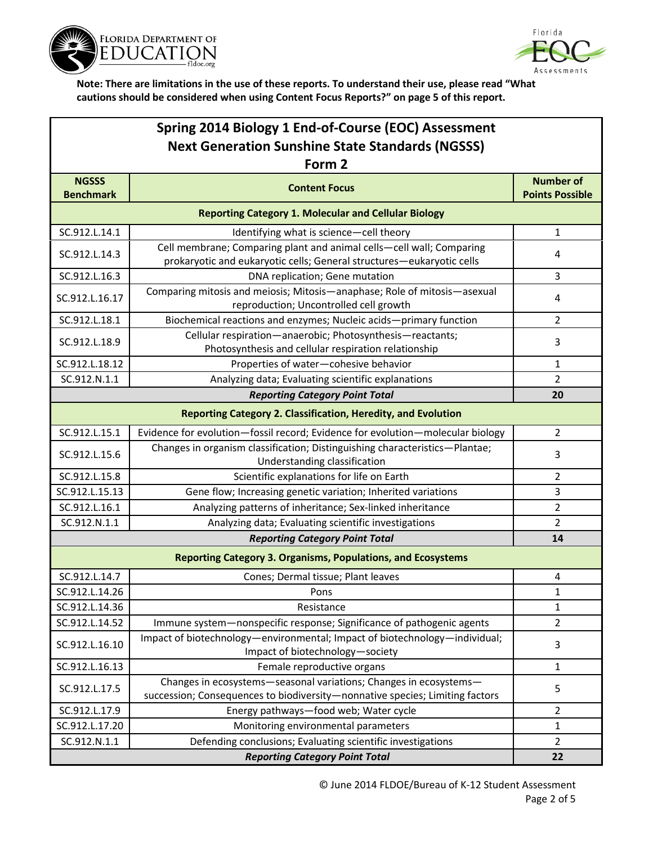



| Spring 2014 Biology 1 End-of-Course (EOC) Assessment                 |                                                                                                                                                   |                                            |  |  |
|----------------------------------------------------------------------|---------------------------------------------------------------------------------------------------------------------------------------------------|--------------------------------------------|--|--|
| <b>Next Generation Sunshine State Standards (NGSSS)</b>              |                                                                                                                                                   |                                            |  |  |
| Form 2                                                               |                                                                                                                                                   |                                            |  |  |
| <b>NGSSS</b><br><b>Benchmark</b>                                     | <b>Content Focus</b>                                                                                                                              | <b>Number of</b><br><b>Points Possible</b> |  |  |
| <b>Reporting Category 1. Molecular and Cellular Biology</b>          |                                                                                                                                                   |                                            |  |  |
| SC.912.L.14.1                                                        | Identifying what is science-cell theory                                                                                                           | $\mathbf{1}$                               |  |  |
| SC.912.L.14.3                                                        | Cell membrane; Comparing plant and animal cells-cell wall; Comparing<br>prokaryotic and eukaryotic cells; General structures-eukaryotic cells     | 4                                          |  |  |
| SC.912.L.16.3                                                        | DNA replication; Gene mutation                                                                                                                    | 3                                          |  |  |
| SC.912.L.16.17                                                       | Comparing mitosis and meiosis; Mitosis-anaphase; Role of mitosis-asexual<br>reproduction; Uncontrolled cell growth                                | 4                                          |  |  |
| SC.912.L.18.1                                                        | Biochemical reactions and enzymes; Nucleic acids-primary function                                                                                 | $\overline{2}$                             |  |  |
| SC.912.L.18.9                                                        | Cellular respiration-anaerobic; Photosynthesis-reactants;<br>Photosynthesis and cellular respiration relationship                                 | 3                                          |  |  |
| SC.912.L.18.12                                                       | Properties of water-cohesive behavior                                                                                                             | $\mathbf{1}$                               |  |  |
| SC.912.N.1.1                                                         | Analyzing data; Evaluating scientific explanations                                                                                                | $\overline{2}$                             |  |  |
|                                                                      | <b>Reporting Category Point Total</b>                                                                                                             | 20                                         |  |  |
| <b>Reporting Category 2. Classification, Heredity, and Evolution</b> |                                                                                                                                                   |                                            |  |  |
| SC.912.L.15.1                                                        | Evidence for evolution-fossil record; Evidence for evolution-molecular biology                                                                    | 2                                          |  |  |
| SC.912.L.15.6                                                        | Changes in organism classification; Distinguishing characteristics-Plantae;<br>Understanding classification                                       | 3                                          |  |  |
| SC.912.L.15.8                                                        | Scientific explanations for life on Earth                                                                                                         | $\overline{2}$                             |  |  |
| SC.912.L.15.13                                                       | Gene flow; Increasing genetic variation; Inherited variations                                                                                     | 3                                          |  |  |
| SC.912.L.16.1                                                        | Analyzing patterns of inheritance; Sex-linked inheritance                                                                                         | 2                                          |  |  |
| SC.912.N.1.1                                                         | Analyzing data; Evaluating scientific investigations                                                                                              | $\overline{2}$                             |  |  |
|                                                                      | <b>Reporting Category Point Total</b>                                                                                                             | 14                                         |  |  |
| <b>Reporting Category 3. Organisms, Populations, and Ecosystems</b>  |                                                                                                                                                   |                                            |  |  |
| SC.912.L.14.7                                                        | Cones; Dermal tissue; Plant leaves                                                                                                                | 4                                          |  |  |
| SC.912.L.14.26                                                       | Pons                                                                                                                                              | 1                                          |  |  |
| SC.912.L.14.36                                                       | Resistance                                                                                                                                        | 1                                          |  |  |
| SC.912.L.14.52                                                       | Immune system-nonspecific response; Significance of pathogenic agents                                                                             | $\overline{2}$                             |  |  |
| SC.912.L.16.10                                                       | Impact of biotechnology-environmental; Impact of biotechnology-individual;<br>Impact of biotechnology-society                                     | 3                                          |  |  |
| SC.912.L.16.13                                                       | Female reproductive organs                                                                                                                        | $\mathbf{1}$                               |  |  |
| SC.912.L.17.5                                                        | Changes in ecosystems-seasonal variations; Changes in ecosystems-<br>succession; Consequences to biodiversity-nonnative species; Limiting factors | 5                                          |  |  |
| SC.912.L.17.9                                                        | Energy pathways-food web; Water cycle                                                                                                             | $\overline{2}$                             |  |  |
| SC.912.L.17.20                                                       | Monitoring environmental parameters                                                                                                               | $\mathbf{1}$                               |  |  |
| SC.912.N.1.1                                                         | Defending conclusions; Evaluating scientific investigations                                                                                       | $\overline{2}$                             |  |  |
| <b>Reporting Category Point Total</b><br>22                          |                                                                                                                                                   |                                            |  |  |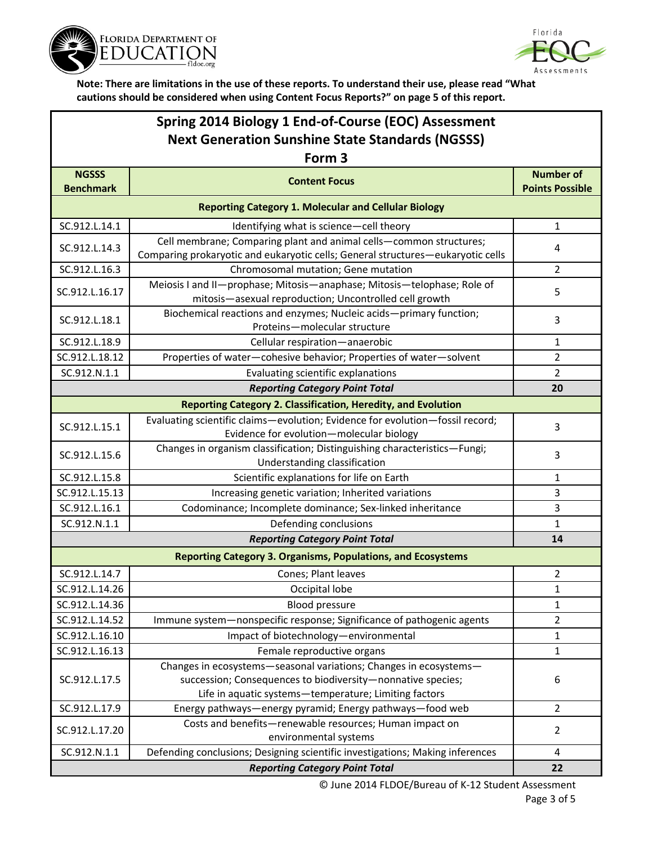



## **Spring 2014 Biology 1 End-of-Course (EOC) Assessment Next Generation Sunshine State Standards (NGSSS)**

| Form <sub>3</sub>                                           |                                                                                                                                                                                           |                                            |  |  |
|-------------------------------------------------------------|-------------------------------------------------------------------------------------------------------------------------------------------------------------------------------------------|--------------------------------------------|--|--|
| <b>NGSSS</b><br><b>Benchmark</b>                            | <b>Content Focus</b>                                                                                                                                                                      | <b>Number of</b><br><b>Points Possible</b> |  |  |
| <b>Reporting Category 1. Molecular and Cellular Biology</b> |                                                                                                                                                                                           |                                            |  |  |
| SC.912.L.14.1                                               | Identifying what is science-cell theory                                                                                                                                                   | $\mathbf{1}$                               |  |  |
| SC.912.L.14.3                                               | Cell membrane; Comparing plant and animal cells-common structures;<br>Comparing prokaryotic and eukaryotic cells; General structures-eukaryotic cells                                     | 4                                          |  |  |
| SC.912.L.16.3                                               | Chromosomal mutation; Gene mutation                                                                                                                                                       | 2                                          |  |  |
| SC.912.L.16.17                                              | Meiosis I and II-prophase; Mitosis-anaphase; Mitosis-telophase; Role of<br>mitosis-asexual reproduction; Uncontrolled cell growth                                                         | 5                                          |  |  |
| SC.912.L.18.1                                               | Biochemical reactions and enzymes; Nucleic acids-primary function;<br>Proteins-molecular structure                                                                                        | 3                                          |  |  |
| SC.912.L.18.9                                               | Cellular respiration-anaerobic                                                                                                                                                            | 1                                          |  |  |
| SC.912.L.18.12                                              | Properties of water-cohesive behavior; Properties of water-solvent                                                                                                                        | $\overline{2}$                             |  |  |
| SC.912.N.1.1                                                | Evaluating scientific explanations                                                                                                                                                        | $\overline{2}$                             |  |  |
|                                                             | <b>Reporting Category Point Total</b>                                                                                                                                                     | 20                                         |  |  |
|                                                             | <b>Reporting Category 2. Classification, Heredity, and Evolution</b>                                                                                                                      |                                            |  |  |
| SC.912.L.15.1                                               | Evaluating scientific claims-evolution; Evidence for evolution-fossil record;<br>Evidence for evolution-molecular biology                                                                 | 3                                          |  |  |
| SC.912.L.15.6                                               | Changes in organism classification; Distinguishing characteristics-Fungi;<br>Understanding classification                                                                                 | 3                                          |  |  |
| SC.912.L.15.8                                               | Scientific explanations for life on Earth                                                                                                                                                 | 1                                          |  |  |
| SC.912.L.15.13                                              | Increasing genetic variation; Inherited variations                                                                                                                                        | 3                                          |  |  |
| SC.912.L.16.1                                               | Codominance; Incomplete dominance; Sex-linked inheritance                                                                                                                                 | 3                                          |  |  |
| SC.912.N.1.1                                                | Defending conclusions                                                                                                                                                                     | $\mathbf{1}$                               |  |  |
|                                                             | <b>Reporting Category Point Total</b>                                                                                                                                                     | 14                                         |  |  |
|                                                             | <b>Reporting Category 3. Organisms, Populations, and Ecosystems</b>                                                                                                                       |                                            |  |  |
| SC.912.L.14.7                                               | Cones; Plant leaves                                                                                                                                                                       | $\overline{2}$                             |  |  |
| SC.912.L.14.26                                              | Occipital lobe                                                                                                                                                                            | 1                                          |  |  |
| SC.912.L.14.36                                              | <b>Blood pressure</b>                                                                                                                                                                     | 1                                          |  |  |
| SC.912.L.14.52                                              | Immune system-nonspecific response; Significance of pathogenic agents                                                                                                                     | 2                                          |  |  |
| SC.912.L.16.10                                              | Impact of biotechnology-environmental                                                                                                                                                     | 1                                          |  |  |
| SC.912.L.16.13                                              | Female reproductive organs                                                                                                                                                                | 1                                          |  |  |
| SC.912.L.17.5                                               | Changes in ecosystems-seasonal variations; Changes in ecosystems-<br>succession; Consequences to biodiversity-nonnative species;<br>Life in aquatic systems-temperature; Limiting factors | 6                                          |  |  |
| SC.912.L.17.9                                               | Energy pathways-energy pyramid; Energy pathways-food web                                                                                                                                  | $\overline{2}$                             |  |  |
| SC.912.L.17.20                                              | Costs and benefits-renewable resources; Human impact on<br>environmental systems                                                                                                          | $\overline{2}$                             |  |  |
| SC.912.N.1.1                                                | Defending conclusions; Designing scientific investigations; Making inferences                                                                                                             | 4                                          |  |  |
| <b>Reporting Category Point Total</b>                       |                                                                                                                                                                                           |                                            |  |  |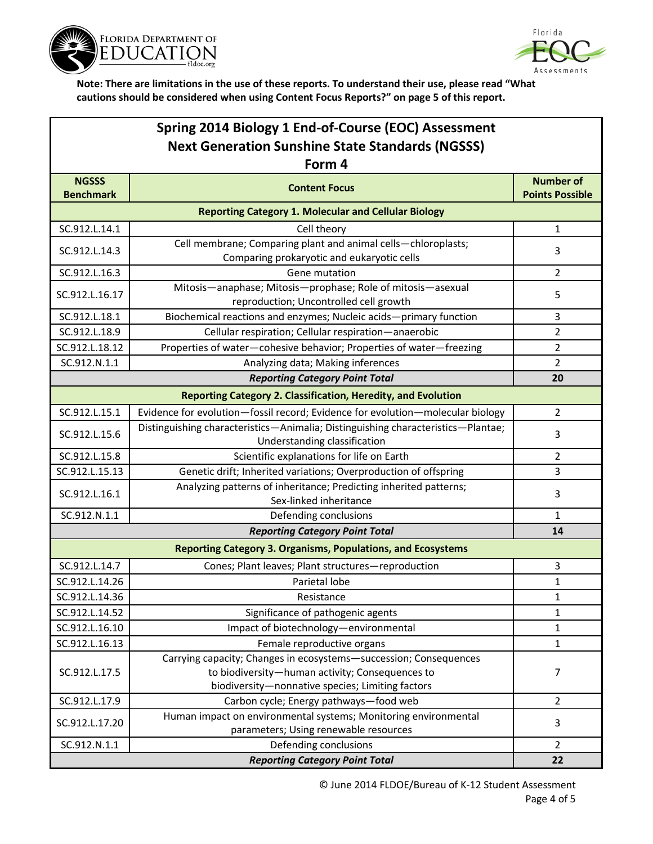



| Spring 2014 Biology 1 End-of-Course (EOC) Assessment        |                                                                                                                                                                          |                                            |  |  |
|-------------------------------------------------------------|--------------------------------------------------------------------------------------------------------------------------------------------------------------------------|--------------------------------------------|--|--|
| <b>Next Generation Sunshine State Standards (NGSSS)</b>     |                                                                                                                                                                          |                                            |  |  |
| Form 4                                                      |                                                                                                                                                                          |                                            |  |  |
| <b>NGSSS</b><br><b>Benchmark</b>                            | <b>Content Focus</b>                                                                                                                                                     | <b>Number of</b><br><b>Points Possible</b> |  |  |
| <b>Reporting Category 1. Molecular and Cellular Biology</b> |                                                                                                                                                                          |                                            |  |  |
| SC.912.L.14.1                                               | Cell theory                                                                                                                                                              | $\mathbf{1}$                               |  |  |
| SC.912.L.14.3                                               | Cell membrane; Comparing plant and animal cells-chloroplasts;<br>Comparing prokaryotic and eukaryotic cells                                                              | 3                                          |  |  |
| SC.912.L.16.3                                               | Gene mutation                                                                                                                                                            | $\overline{2}$                             |  |  |
| SC.912.L.16.17                                              | Mitosis-anaphase; Mitosis-prophase; Role of mitosis-asexual<br>reproduction; Uncontrolled cell growth                                                                    | 5                                          |  |  |
| SC.912.L.18.1                                               | Biochemical reactions and enzymes; Nucleic acids-primary function                                                                                                        | 3                                          |  |  |
| SC.912.L.18.9                                               | Cellular respiration; Cellular respiration-anaerobic                                                                                                                     | $\overline{2}$                             |  |  |
| SC.912.L.18.12                                              | Properties of water-cohesive behavior; Properties of water-freezing                                                                                                      | $\overline{2}$                             |  |  |
| SC.912.N.1.1                                                | Analyzing data; Making inferences                                                                                                                                        | $\overline{2}$                             |  |  |
|                                                             | <b>Reporting Category Point Total</b>                                                                                                                                    | 20                                         |  |  |
|                                                             | <b>Reporting Category 2. Classification, Heredity, and Evolution</b>                                                                                                     |                                            |  |  |
| SC.912.L.15.1                                               | Evidence for evolution-fossil record; Evidence for evolution-molecular biology                                                                                           | 2                                          |  |  |
| SC.912.L.15.6                                               | Distinguishing characteristics-Animalia; Distinguishing characteristics-Plantae;<br>Understanding classification                                                         | 3                                          |  |  |
| SC.912.L.15.8                                               | Scientific explanations for life on Earth                                                                                                                                | $\overline{2}$                             |  |  |
| SC.912.L.15.13                                              | Genetic drift; Inherited variations; Overproduction of offspring                                                                                                         | 3                                          |  |  |
| SC.912.L.16.1                                               | Analyzing patterns of inheritance; Predicting inherited patterns;<br>Sex-linked inheritance                                                                              | 3                                          |  |  |
| SC.912.N.1.1                                                | Defending conclusions                                                                                                                                                    | $\mathbf{1}$                               |  |  |
|                                                             | <b>Reporting Category Point Total</b>                                                                                                                                    | 14                                         |  |  |
|                                                             | <b>Reporting Category 3. Organisms, Populations, and Ecosystems</b>                                                                                                      |                                            |  |  |
| SC.912.L.14.7                                               | Cones; Plant leaves; Plant structures-reproduction                                                                                                                       | 3                                          |  |  |
| SC.912.L.14.26                                              | Parietal lobe                                                                                                                                                            | $\mathbf{1}$                               |  |  |
| SC.912.L.14.36                                              | Resistance                                                                                                                                                               | $\mathbf{1}$                               |  |  |
| SC.912.L.14.52                                              | Significance of pathogenic agents                                                                                                                                        | $\mathbf{1}$                               |  |  |
| SC.912.L.16.10                                              | Impact of biotechnology-environmental                                                                                                                                    | $\mathbf{1}$                               |  |  |
| SC.912.L.16.13                                              | Female reproductive organs                                                                                                                                               | $\mathbf{1}$                               |  |  |
| SC.912.L.17.5                                               | Carrying capacity; Changes in ecosystems-succession; Consequences<br>to biodiversity-human activity; Consequences to<br>biodiversity-nonnative species; Limiting factors | 7                                          |  |  |
| SC.912.L.17.9                                               | Carbon cycle; Energy pathways-food web                                                                                                                                   | $\overline{2}$                             |  |  |
| SC.912.L.17.20                                              | Human impact on environmental systems; Monitoring environmental<br>parameters; Using renewable resources                                                                 | 3                                          |  |  |
| SC.912.N.1.1                                                | Defending conclusions                                                                                                                                                    | $\overline{2}$                             |  |  |
| <b>Reporting Category Point Total</b>                       |                                                                                                                                                                          |                                            |  |  |